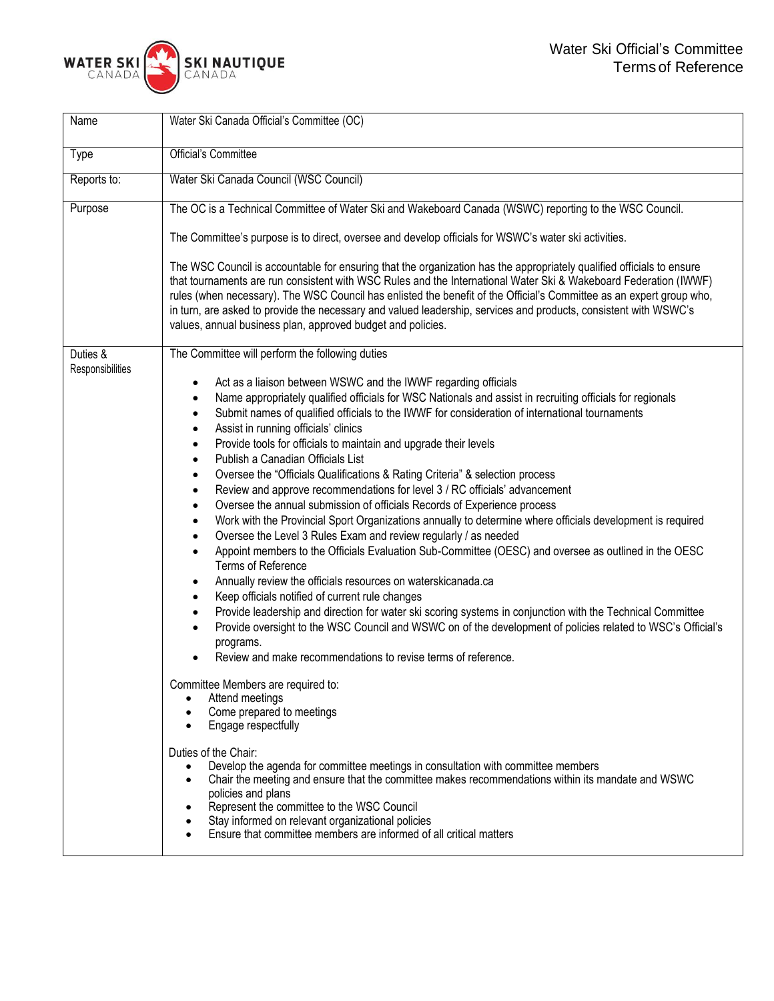

| Name                         | Water Ski Canada Official's Committee (OC)                                                                                                                                                                                                                                                                                                                                                                                                                                                                                                                                                                                                                                                                                                                                                                                                                                                                                                                                                                                                                                                                                                                                                                                                                                                                                                                                                                                                                                                                                                                                                                    |
|------------------------------|---------------------------------------------------------------------------------------------------------------------------------------------------------------------------------------------------------------------------------------------------------------------------------------------------------------------------------------------------------------------------------------------------------------------------------------------------------------------------------------------------------------------------------------------------------------------------------------------------------------------------------------------------------------------------------------------------------------------------------------------------------------------------------------------------------------------------------------------------------------------------------------------------------------------------------------------------------------------------------------------------------------------------------------------------------------------------------------------------------------------------------------------------------------------------------------------------------------------------------------------------------------------------------------------------------------------------------------------------------------------------------------------------------------------------------------------------------------------------------------------------------------------------------------------------------------------------------------------------------------|
| Type                         | Official's Committee                                                                                                                                                                                                                                                                                                                                                                                                                                                                                                                                                                                                                                                                                                                                                                                                                                                                                                                                                                                                                                                                                                                                                                                                                                                                                                                                                                                                                                                                                                                                                                                          |
| Reports to:                  | Water Ski Canada Council (WSC Council)                                                                                                                                                                                                                                                                                                                                                                                                                                                                                                                                                                                                                                                                                                                                                                                                                                                                                                                                                                                                                                                                                                                                                                                                                                                                                                                                                                                                                                                                                                                                                                        |
| Purpose                      | The OC is a Technical Committee of Water Ski and Wakeboard Canada (WSWC) reporting to the WSC Council.                                                                                                                                                                                                                                                                                                                                                                                                                                                                                                                                                                                                                                                                                                                                                                                                                                                                                                                                                                                                                                                                                                                                                                                                                                                                                                                                                                                                                                                                                                        |
|                              | The Committee's purpose is to direct, oversee and develop officials for WSWC's water ski activities.                                                                                                                                                                                                                                                                                                                                                                                                                                                                                                                                                                                                                                                                                                                                                                                                                                                                                                                                                                                                                                                                                                                                                                                                                                                                                                                                                                                                                                                                                                          |
|                              | The WSC Council is accountable for ensuring that the organization has the appropriately qualified officials to ensure<br>that tournaments are run consistent with WSC Rules and the International Water Ski & Wakeboard Federation (IWWF)<br>rules (when necessary). The WSC Council has enlisted the benefit of the Official's Committee as an expert group who,<br>in turn, are asked to provide the necessary and valued leadership, services and products, consistent with WSWC's<br>values, annual business plan, approved budget and policies.                                                                                                                                                                                                                                                                                                                                                                                                                                                                                                                                                                                                                                                                                                                                                                                                                                                                                                                                                                                                                                                          |
| Duties &<br>Responsibilities | The Committee will perform the following duties                                                                                                                                                                                                                                                                                                                                                                                                                                                                                                                                                                                                                                                                                                                                                                                                                                                                                                                                                                                                                                                                                                                                                                                                                                                                                                                                                                                                                                                                                                                                                               |
|                              | Act as a liaison between WSWC and the IWWF regarding officials<br>٠<br>Name appropriately qualified officials for WSC Nationals and assist in recruiting officials for regionals<br>$\bullet$<br>Submit names of qualified officials to the IWWF for consideration of international tournaments<br>$\bullet$<br>Assist in running officials' clinics<br>$\bullet$<br>Provide tools for officials to maintain and upgrade their levels<br>$\bullet$<br>Publish a Canadian Officials List<br>$\bullet$<br>Oversee the "Officials Qualifications & Rating Criteria" & selection process<br>$\bullet$<br>Review and approve recommendations for level 3 / RC officials' advancement<br>$\bullet$<br>Oversee the annual submission of officials Records of Experience process<br>$\bullet$<br>Work with the Provincial Sport Organizations annually to determine where officials development is required<br>$\bullet$<br>Oversee the Level 3 Rules Exam and review regularly / as needed<br>$\bullet$<br>Appoint members to the Officials Evaluation Sub-Committee (OESC) and oversee as outlined in the OESC<br>$\bullet$<br>Terms of Reference<br>Annually review the officials resources on waterskicanada.ca<br>٠<br>Keep officials notified of current rule changes<br>٠<br>Provide leadership and direction for water ski scoring systems in conjunction with the Technical Committee<br>$\bullet$<br>Provide oversight to the WSC Council and WSWC on of the development of policies related to WSC's Official's<br>$\bullet$<br>programs.<br>Review and make recommendations to revise terms of reference. |
|                              | Committee Members are required to:<br>Attend meetings<br>Come prepared to meetings<br>Engage respectfully<br>$\bullet$<br>Duties of the Chair:<br>Develop the agenda for committee meetings in consultation with committee members<br>$\bullet$<br>Chair the meeting and ensure that the committee makes recommendations within its mandate and WSWC<br>$\bullet$<br>policies and plans<br>Represent the committee to the WSC Council<br>Stay informed on relevant organizational policies<br>Ensure that committee members are informed of all critical matters                                                                                                                                                                                                                                                                                                                                                                                                                                                                                                                                                                                                                                                                                                                                                                                                                                                                                                                                                                                                                                              |
|                              |                                                                                                                                                                                                                                                                                                                                                                                                                                                                                                                                                                                                                                                                                                                                                                                                                                                                                                                                                                                                                                                                                                                                                                                                                                                                                                                                                                                                                                                                                                                                                                                                               |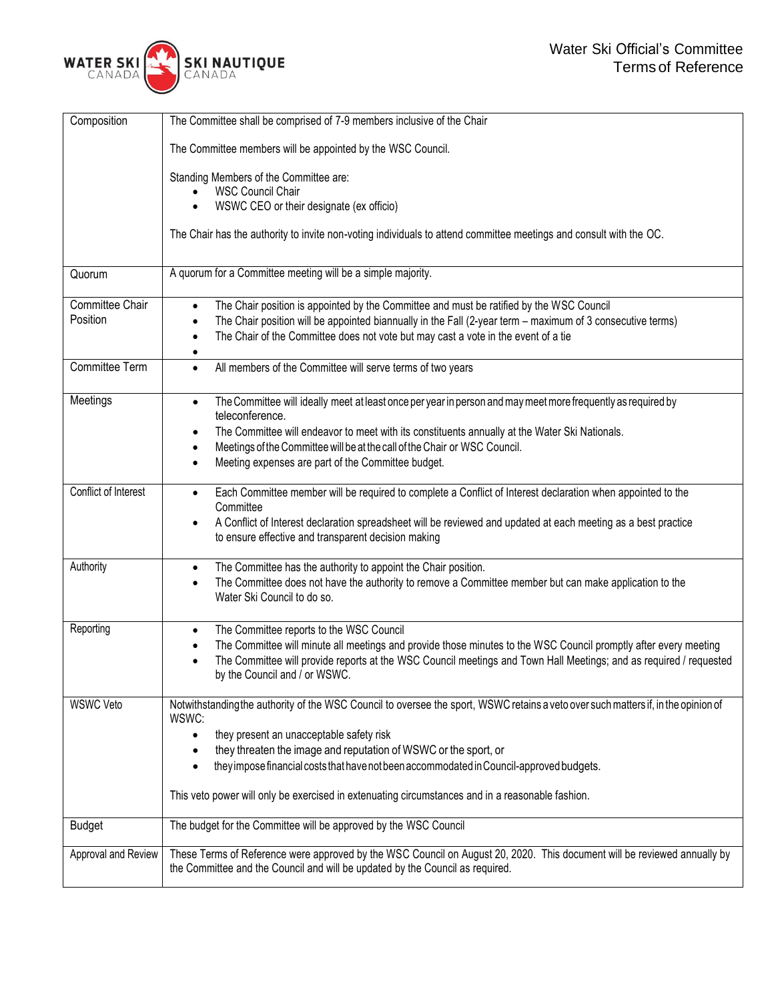

| Composition          | The Committee shall be comprised of 7-9 members inclusive of the Chair                                                                                                                                    |
|----------------------|-----------------------------------------------------------------------------------------------------------------------------------------------------------------------------------------------------------|
|                      | The Committee members will be appointed by the WSC Council.                                                                                                                                               |
|                      | Standing Members of the Committee are:                                                                                                                                                                    |
|                      | <b>WSC Council Chair</b>                                                                                                                                                                                  |
|                      | WSWC CEO or their designate (ex officio)                                                                                                                                                                  |
|                      | The Chair has the authority to invite non-voting individuals to attend committee meetings and consult with the OC.                                                                                        |
| Quorum               | A quorum for a Committee meeting will be a simple majority.                                                                                                                                               |
| Committee Chair      | The Chair position is appointed by the Committee and must be ratified by the WSC Council<br>$\bullet$                                                                                                     |
| Position             | The Chair position will be appointed biannually in the Fall (2-year term - maximum of 3 consecutive terms)<br>$\bullet$                                                                                   |
|                      | The Chair of the Committee does not vote but may cast a vote in the event of a tie<br>$\bullet$                                                                                                           |
|                      | $\bullet$                                                                                                                                                                                                 |
| Committee Term       | All members of the Committee will serve terms of two years<br>$\bullet$                                                                                                                                   |
| Meetings             | The Committee will ideally meet at least once per year in person and may meet more frequently as required by<br>$\bullet$<br>teleconference.                                                              |
|                      | The Committee will endeavor to meet with its constituents annually at the Water Ski Nationals.<br>$\bullet$                                                                                               |
|                      | Meetings of the Committee will be at the call of the Chair or WSC Council.<br>$\bullet$                                                                                                                   |
|                      | Meeting expenses are part of the Committee budget.<br>$\bullet$                                                                                                                                           |
|                      |                                                                                                                                                                                                           |
| Conflict of Interest | Each Committee member will be required to complete a Conflict of Interest declaration when appointed to the<br>$\bullet$<br>Committee                                                                     |
|                      | A Conflict of Interest declaration spreadsheet will be reviewed and updated at each meeting as a best practice<br>$\bullet$<br>to ensure effective and transparent decision making                        |
| Authority            | The Committee has the authority to appoint the Chair position.<br>$\bullet$                                                                                                                               |
|                      | The Committee does not have the authority to remove a Committee member but can make application to the<br>$\bullet$<br>Water Ski Council to do so.                                                        |
| Reporting            | The Committee reports to the WSC Council<br>$\bullet$                                                                                                                                                     |
|                      | The Committee will minute all meetings and provide those minutes to the WSC Council promptly after every meeting<br>$\bullet$                                                                             |
|                      | The Committee will provide reports at the WSC Council meetings and Town Hall Meetings; and as required / requested<br>$\bullet$<br>by the Council and / or WSWC.                                          |
| <b>WSWC Veto</b>     | Notwithstanding the authority of the WSC Council to oversee the sport, WSWC retains a veto over such matters if, in the opinion of<br>WSWC:                                                               |
|                      | they present an unacceptable safety risk<br>$\bullet$                                                                                                                                                     |
|                      | they threaten the image and reputation of WSWC or the sport, or                                                                                                                                           |
|                      | they impose financial costs that have not been accommodated in Council-approved budgets.<br>$\bullet$                                                                                                     |
|                      |                                                                                                                                                                                                           |
|                      | This veto power will only be exercised in extenuating circumstances and in a reasonable fashion.                                                                                                          |
| <b>Budget</b>        | The budget for the Committee will be approved by the WSC Council                                                                                                                                          |
| Approval and Review  | These Terms of Reference were approved by the WSC Council on August 20, 2020. This document will be reviewed annually by<br>the Committee and the Council and will be updated by the Council as required. |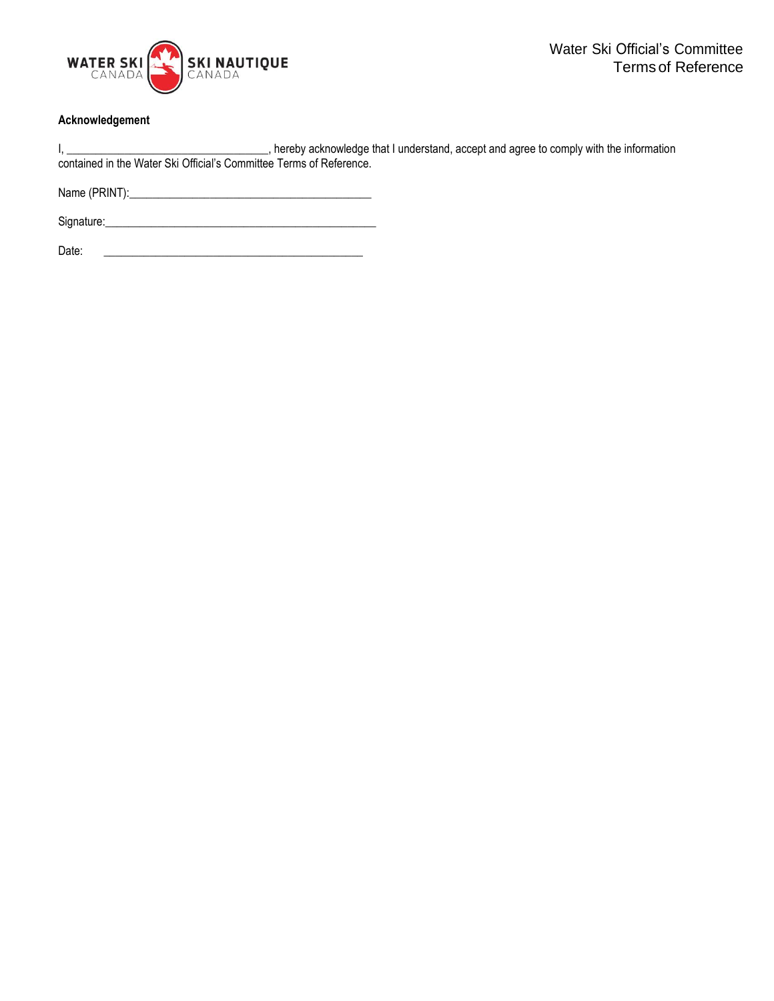

## **Acknowledgement**

| , hereby acknowledge that I understand, accept and agree to comply with the information |
|-----------------------------------------------------------------------------------------|
| contained in the Water Ski Official's Committee Terms of Reference.                     |

Name (PRINT):\_\_\_\_\_\_\_\_\_\_\_\_\_\_\_\_\_\_\_\_\_\_\_\_\_\_\_\_\_\_\_\_\_\_\_\_\_\_\_\_\_\_

Signature:\_\_\_\_\_\_\_\_\_\_\_\_\_\_\_\_\_\_\_\_\_\_\_\_\_\_\_\_\_\_\_\_\_\_\_\_\_\_\_\_\_\_\_\_\_\_\_

Date: \_\_\_\_\_\_\_\_\_\_\_\_\_\_\_\_\_\_\_\_\_\_\_\_\_\_\_\_\_\_\_\_\_\_\_\_\_\_\_\_\_\_\_\_\_